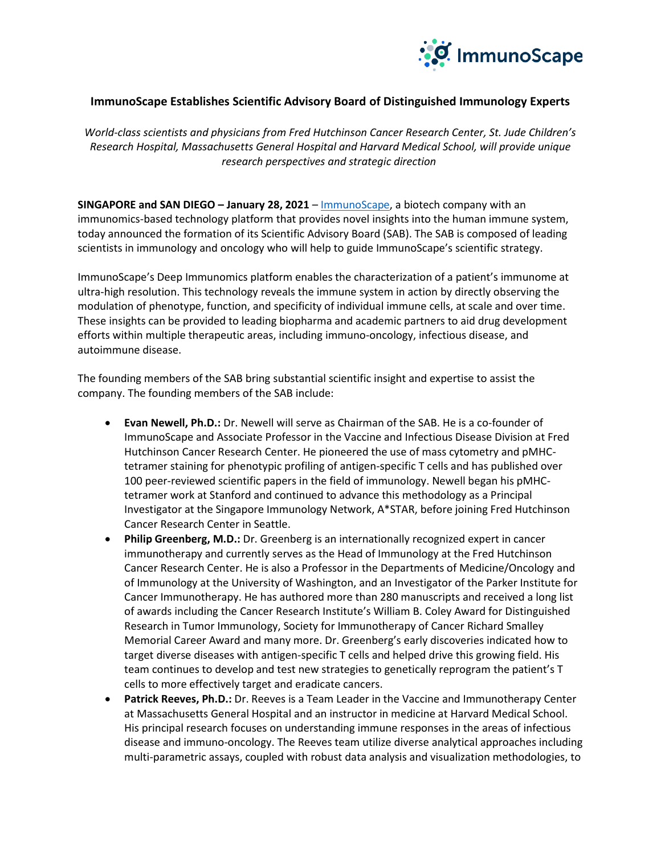

## **ImmunoScape Establishes Scientific Advisory Board of Distinguished Immunology Experts**

*World-class scientists and physicians from Fred Hutchinson Cancer Research Center, St. Jude Children's Research Hospital, Massachusetts General Hospital and Harvard Medical School, will provide unique research perspectives and strategic direction*

**SINGAPORE and SAN DIEGO – January 28, 2021 – [ImmunoScape,](https://immunoscape.com/) a biotech company with an** immunomics-based technology platform that provides novel insights into the human immune system, today announced the formation of its Scientific Advisory Board (SAB). The SAB is composed of leading scientists in immunology and oncology who will help to guide ImmunoScape's scientific strategy.

ImmunoScape's Deep Immunomics platform enables the characterization of a patient's immunome at ultra-high resolution. This technology reveals the immune system in action by directly observing the modulation of phenotype, function, and specificity of individual immune cells, at scale and over time. These insights can be provided to leading biopharma and academic partners to aid drug development efforts within multiple therapeutic areas, including immuno-oncology, infectious disease, and autoimmune disease.

The founding members of the SAB bring substantial scientific insight and expertise to assist the company. The founding members of the SAB include:

- **Evan Newell, Ph.D.:** Dr. Newell will serve as Chairman of the SAB. He is a co-founder of ImmunoScape and Associate Professor in the Vaccine and Infectious Disease Division at Fred Hutchinson Cancer Research Center. He pioneered the use of mass cytometry and pMHCtetramer staining for phenotypic profiling of antigen-specific T cells and has published over 100 peer-reviewed scientific papers in the field of immunology. Newell began his pMHCtetramer work at Stanford and continued to advance this methodology as a Principal Investigator at the Singapore Immunology Network, A\*STAR, before joining Fred Hutchinson Cancer Research Center in Seattle.
- **Philip Greenberg, M.D.:** Dr. Greenberg is an internationally recognized expert in cancer immunotherapy and currently serves as the Head of Immunology at the Fred Hutchinson Cancer Research Center. He is also a Professor in the Departments of Medicine/Oncology and of Immunology at the University of Washington, and an Investigator of the Parker Institute for Cancer Immunotherapy. He has authored more than 280 manuscripts and received a long list of awards including the Cancer Research Institute's William B. Coley Award for Distinguished Research in Tumor Immunology, Society for Immunotherapy of Cancer Richard Smalley Memorial Career Award and many more. Dr. Greenberg's early discoveries indicated how to target diverse diseases with antigen-specific T cells and helped drive this growing field. His team continues to develop and test new strategies to genetically reprogram the patient's T cells to more effectively target and eradicate cancers.
- **Patrick Reeves, Ph.D.:** Dr. Reeves is a Team Leader in the Vaccine and Immunotherapy Center at Massachusetts General Hospital and an instructor in medicine at Harvard Medical School. His principal research focuses on understanding immune responses in the areas of infectious disease and immuno-oncology. The Reeves team utilize diverse analytical approaches including multi-parametric assays, coupled with robust data analysis and visualization methodologies, to